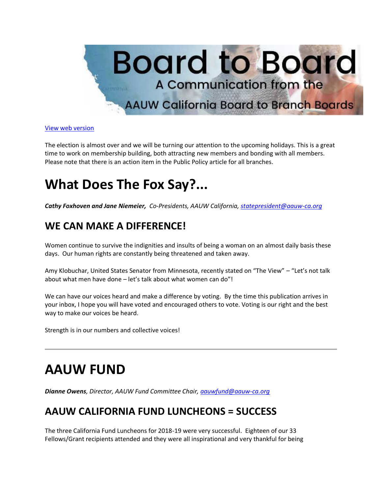

[View web version](https://bor.aauw-ca.org/sendy/w/892WZcugyyn7Dp4I7u2fztNQ/X4kB0ERVfDDPr7iAvcwqJA/9MSWcVsyH6ynsuuekSvgLg)

The election is almost over and we will be turning our attention to the upcoming holidays. This is a great time to work on membership building, both attracting new members and bonding with all members. Please note that there is an action item in the Public Policy article for all branches.

# **What Does The Fox Say?...**

*Cathy Foxhoven and Jane Niemeier, Co-Presidents, AAUW California, [statepresident@aauw-ca.org](mailto:statepresident@aauw-ca.org)*

### **WE CAN MAKE A DIFFERENCE!**

Women continue to survive the indignities and insults of being a woman on an almost daily basis these days. Our human rights are constantly being threatened and taken away.

Amy Klobuchar, United States Senator from Minnesota, recently stated on "The View" – "Let's not talk about what men have done – let's talk about what women can do"!

We can have our voices heard and make a difference by voting. By the time this publication arrives in your inbox, I hope you will have voted and encouraged others to vote. Voting is our right and the best way to make our voices be heard.

Strength is in our numbers and collective voices!

# **AAUW FUND**

*Dianne Owens, Director, AAUW Fund Committee Chair, [aauwfund@aauw-ca.org](mailto:aauwfund@aauw-ca.org)*

### **AAUW CALIFORNIA FUND LUNCHEONS = SUCCESS**

The three California Fund Luncheons for 2018-19 were very successful. Eighteen of our 33 Fellows/Grant recipients attended and they were all inspirational and very thankful for being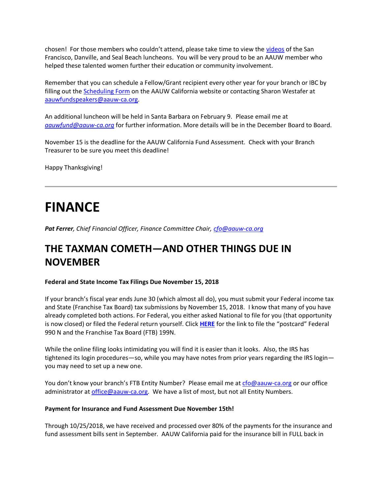chosen! For those members who couldn't attend, please take time to view the [videos](https://bor.aauw-ca.org/sendy/l/892WZcugyyn7Dp4I7u2fztNQ/rpH2NsiFbY9fSnAaEueL1w/9MSWcVsyH6ynsuuekSvgLg) of the San Francisco, Danville, and Seal Beach luncheons. You will be very proud to be an AAUW member who helped these talented women further their education or community involvement.

Remember that you can schedule a Fellow/Grant recipient every other year for your branch or IBC by filling out the **Scheduling Form** on the AAUW California website or contacting Sharon Westafer at [aauwfundspeakers@aauw-ca.org.](mailto:aauwfundspeakers@aauw-ca.org)

An additional luncheon will be held in Santa Barbara on February 9. Please email me at *[aauwfund@aauw-ca.org](mailto:aauwfund@aauw-ca.org)* for further information. More details will be in the December Board to Board.

November 15 is the deadline for the AAUW California Fund Assessment. Check with your Branch Treasurer to be sure you meet this deadline!

Happy Thanksgiving!

## **FINANCE**

*Pat Ferrer, Chief Financial Officer, Finance Committee Chair, [cfo@aauw-ca.org](mailto:cfo@aauw-ca.org)*

### **THE TAXMAN COMETH—AND OTHER THINGS DUE IN NOVEMBER**

#### **Federal and State Income Tax Filings Due November 15, 2018**

If your branch's fiscal year ends June 30 (which almost all do), you must submit your Federal income tax and State (Franchise Tax Board) tax submissions by November 15, 2018. I know that many of you have already completed both actions. For Federal, you either asked National to file for you (that opportunity is now closed) or filed the Federal return yourself. Click **[HERE](https://bor.aauw-ca.org/sendy/l/892WZcugyyn7Dp4I7u2fztNQ/TvvvB763inFnYTZweOCTCuyw/9MSWcVsyH6ynsuuekSvgLg)** for the link to file the "postcard" Federal 990 N and the Franchise Tax Board (FTB) 199N.

While the online filing looks intimidating you will find it is easier than it looks. Also, the IRS has tightened its login procedures—so, while you may have notes from prior years regarding the IRS login you may need to set up a new one.

You don't know your branch's FTB Entity Number? Please email me at [cfo@aauw-ca.org](mailto:cfo@aauw-ca.org) or our office administrator at [office@aauw-ca.org.](mailto:office@aauw-ca.org) We have a list of most, but not all Entity Numbers.

#### **Payment for Insurance and Fund Assessment Due November 15th!**

Through 10/25/2018, we have received and processed over 80% of the payments for the insurance and fund assessment bills sent in September. AAUW California paid for the insurance bill in FULL back in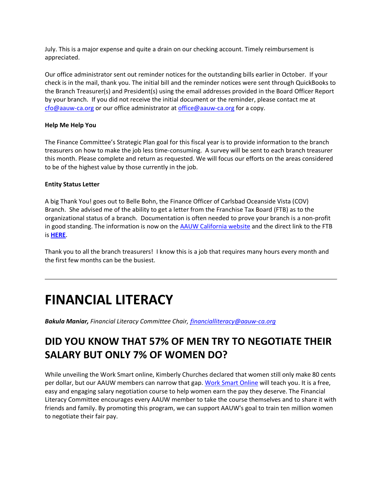July. This is a major expense and quite a drain on our checking account. Timely reimbursement is appreciated.

Our office administrator sent out reminder notices for the outstanding bills earlier in October. If your check is in the mail, thank you. The initial bill and the reminder notices were sent through QuickBooks to the Branch Treasurer(s) and President(s) using the email addresses provided in the Board Officer Report by your branch. If you did not receive the initial document or the reminder, please contact me at [cfo@aauw-ca.org](mailto:cfo@aauw-ca.org) or our office administrator at [office@aauw-ca.org](mailto:office@aauw-ca.org) for a copy.

#### **Help Me Help You**

The Finance Committee's Strategic Plan goal for this fiscal year is to provide information to the branch treasurers on how to make the job less time-consuming. A survey will be sent to each branch treasurer this month. Please complete and return as requested. We will focus our efforts on the areas considered to be of the highest value by those currently in the job.

#### **Entity Status Letter**

A big Thank You! goes out to Belle Bohn, the Finance Officer of Carlsbad Oceanside Vista (COV) Branch. She advised me of the ability to get a letter from the Franchise Tax Board (FTB) as to the organizational status of a branch. Documentation is often needed to prove your branch is a non-profit in good standing. The information is now on the [AAUW California website](https://bor.aauw-ca.org/sendy/l/892WZcugyyn7Dp4I7u2fztNQ/TvvvB763inFnYTZweOCTCuyw/9MSWcVsyH6ynsuuekSvgLg) and the direct link to the FTB is **[HERE](https://bor.aauw-ca.org/sendy/l/892WZcugyyn7Dp4I7u2fztNQ/Vp51DReP7ftGPi31VYdP6A/9MSWcVsyH6ynsuuekSvgLg)**.

Thank you to all the branch treasurers! I know this is a job that requires many hours every month and the first few months can be the busiest.

## **FINANCIAL LITERACY**

*Bakula Maniar, Financial Literacy Committee Chair, [financialliteracy@aauw-ca.org](mailto:financialliteracy@aauw-ca.org)*

### **DID YOU KNOW THAT 57% OF MEN TRY TO NEGOTIATE THEIR SALARY BUT ONLY 7% OF WOMEN DO?**

While unveiling the Work Smart online, Kimberly Churches declared that women still only make 80 cents per dollar, but our AAUW members can narrow that gap. [Work Smart Online](https://bor.aauw-ca.org/sendy/l/892WZcugyyn7Dp4I7u2fztNQ/ykaeey6L892X1AfeTdRpwwMg/9MSWcVsyH6ynsuuekSvgLg) will teach you. It is a free, easy and engaging salary negotiation course to help women earn the pay they deserve. The Financial Literacy Committee encourages every AAUW member to take the course themselves and to share it with friends and family. By promoting this program, we can support AAUW's goal to train ten million women to negotiate their fair pay.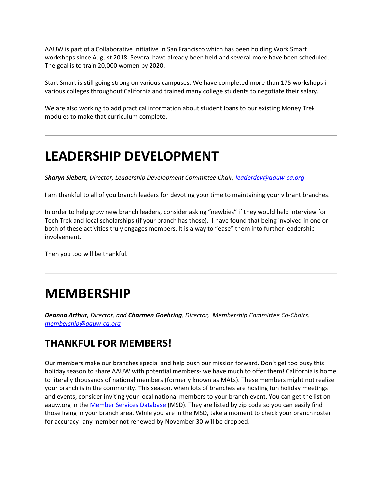AAUW is part of a Collaborative Initiative in San Francisco which has been holding Work Smart workshops since August 2018. Several have already been held and several more have been scheduled. The goal is to train 20,000 women by 2020.

Start Smart is still going strong on various campuses. We have completed more than 175 workshops in various colleges throughout California and trained many college students to negotiate their salary.

We are also working to add practical information about student loans to our existing Money Trek modules to make that curriculum complete.

## **LEADERSHIP DEVELOPMENT**

*Sharyn Siebert, Director, Leadership Development Committee Chair[, leaderdev@aauw-ca.org](mailto:leaderdev@aauw-ca.org)*

I am thankful to all of you branch leaders for devoting your time to maintaining your vibrant branches.

In order to help grow new branch leaders, consider asking "newbies" if they would help interview for Tech Trek and local scholarships (if your branch has those). I have found that being involved in one or both of these activities truly engages members. It is a way to "ease" them into further leadership involvement.

Then you too will be thankful.

## **MEMBERSHIP**

*Deanna Arthur, Director, and Charmen Goehring, Director, Membership Committee Co-Chairs, [membership@aauw-ca.org](mailto:membership@aauw-ca.org)*

### **THANKFUL FOR MEMBERS!**

Our members make our branches special and help push our mission forward. Don't get too busy this holiday season to share AAUW with potential members- we have much to offer them! California is home to literally thousands of national members (formerly known as MALs). These members might not realize your branch is in the community. This season, when lots of branches are hosting fun holiday meetings and events, consider inviting your local national members to your branch event. You can get the list on aauw.org in the [Member Services Database](https://bor.aauw-ca.org/sendy/l/892WZcugyyn7Dp4I7u2fztNQ/iBqLnyPA6BBdnvuKnN892VCg/9MSWcVsyH6ynsuuekSvgLg) (MSD). They are listed by zip code so you can easily find those living in your branch area. While you are in the MSD, take a moment to check your branch roster for accuracy- any member not renewed by November 30 will be dropped.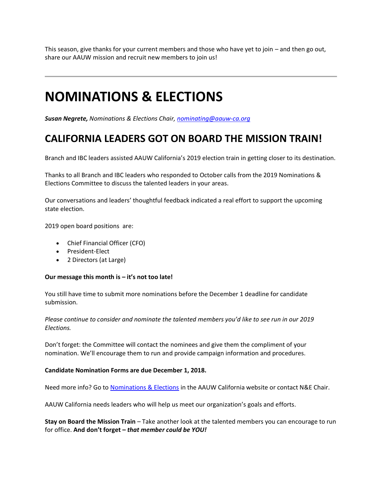This season, give thanks for your current members and those who have yet to join – and then go out, share our AAUW mission and recruit new members to join us!

## **NOMINATIONS & ELECTIONS**

*Susan Negrete, Nominations & Elections Chair[, nominating@aauw-ca.org](mailto:nominating@aauw-ca.org)*

### **CALIFORNIA LEADERS GOT ON BOARD THE MISSION TRAIN!**

Branch and IBC leaders assisted AAUW California's 2019 election train in getting closer to its destination.

Thanks to all Branch and IBC leaders who responded to October calls from the 2019 Nominations & Elections Committee to discuss the talented leaders in your areas.

Our conversations and leaders' thoughtful feedback indicated a real effort to support the upcoming state election.

2019 open board positions are:

- Chief Financial Officer (CFO)
- President-Elect
- 2 Directors (at Large)

#### **Our message this month is – it's not too late!**

You still have time to submit more nominations before the December 1 deadline for candidate submission.

*Please continue to consider and nominate the talented members you'd like to see run in our 2019 Elections.*

Don't forget: the Committee will contact the nominees and give them the compliment of your nomination. We'll encourage them to run and provide campaign information and procedures.

#### **Candidate Nomination Forms are due December 1, 2018.**

Need more info? Go to [Nominations & Elections](https://bor.aauw-ca.org/sendy/l/892WZcugyyn7Dp4I7u2fztNQ/eGXIuGTMD8zxa3sNmLvLmw/9MSWcVsyH6ynsuuekSvgLg) in the AAUW California website or contact N&E Chair.

AAUW California needs leaders who will help us meet our organization's goals and efforts.

**Stay on Board the Mission Train** – Take another look at the talented members you can encourage to run for office. **And don't forget –** *that member could be YOU!*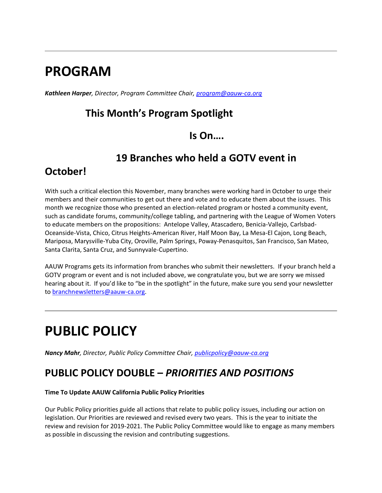## **PROGRAM**

*Kathleen Harper, Director, Program Committee Chair, [program@aauw-ca.org](mailto:program@aauw-ca.org)*

### **This Month's Program Spotlight**

### **Is On….**

### **19 Branches who held a GOTV event in**

### **October!**

With such a critical election this November, many branches were working hard in October to urge their members and their communities to get out there and vote and to educate them about the issues. This month we recognize those who presented an election-related program or hosted a community event, such as candidate forums, community/college tabling, and partnering with the League of Women Voters to educate members on the propositions: Antelope Valley, Atascadero, Benicia-Vallejo, Carlsbad-Oceanside-Vista, Chico, Citrus Heights-American River, Half Moon Bay, La Mesa-El Cajon, Long Beach, Mariposa, Marysville-Yuba City, Oroville, Palm Springs, Poway-Penasquitos, San Francisco, San Mateo, Santa Clarita, Santa Cruz, and Sunnyvale-Cupertino.

AAUW Programs gets its information from branches who submit their newsletters. If your branch held a GOTV program or event and is not included above, we congratulate you, but we are sorry we missed hearing about it. If you'd like to "be in the spotlight" in the future, make sure you send your newsletter to [branchnewsletters@aauw-ca.org.](mailto:branchnewsletters@aauw-ca.org)

# **PUBLIC POLICY**

*Nancy Mahr, Director, Public Policy Committee Chair, [publicpolicy@aauw-ca.org](mailto:PublicPolicy@aauw-ca.org)*

### **PUBLIC POLICY DOUBLE –** *PRIORITIES AND POSITIONS*

#### **Time To Update AAUW California Public Policy Priorities**

Our Public Policy priorities guide all actions that relate to public policy issues, including our action on legislation. Our Priorities are reviewed and revised every two years. This is the year to initiate the review and revision for 2019-2021. The Public Policy Committee would like to engage as many members as possible in discussing the revision and contributing suggestions.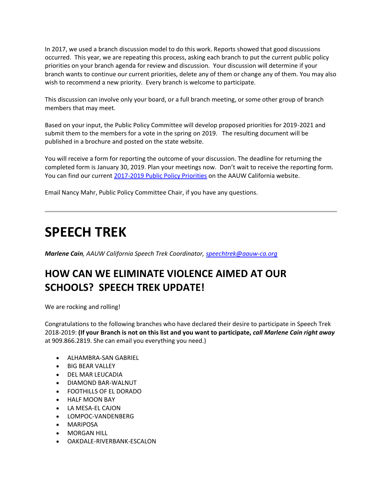In 2017, we used a branch discussion model to do this work. Reports showed that good discussions occurred. This year, we are repeating this process, asking each branch to put the current public policy priorities on your branch agenda for review and discussion. Your discussion will determine if your branch wants to continue our current priorities, delete any of them or change any of them. You may also wish to recommend a new priority. Every branch is welcome to participate.

This discussion can involve only your board, or a full branch meeting, or some other group of branch members that may meet.

Based on your input, the Public Policy Committee will develop proposed priorities for 2019-2021 and submit them to the members for a vote in the spring on 2019. The resulting document will be published in a brochure and posted on the state website.

You will receive a form for reporting the outcome of your discussion. The deadline for returning the completed form is January 30, 2019. Plan your meetings now. Don't wait to receive the reporting form. You can find our current [2017-2019 Public Policy Priorities](https://bor.aauw-ca.org/sendy/l/892WZcugyyn7Dp4I7u2fztNQ/Ys4FaIxjhMw4VMakroanIQ/9MSWcVsyH6ynsuuekSvgLg) on the AAUW California website.

Email Nancy Mahr, Public Policy Committee Chair, if you have any questions.

## **SPEECH TREK**

*Marlene Cain, AAUW California Speech Trek Coordinator, [speechtrek@aauw-ca.org](mailto:speechtrek@aauw-ca.org)*

### **HOW CAN WE ELIMINATE VIOLENCE AIMED AT OUR SCHOOLS? SPEECH TREK UPDATE!**

We are rocking and rolling!

Congratulations to the following branches who have declared their desire to participate in Speech Trek 2018-2019: **(If your Branch is not on this list and you want to participate,** *call Marlene Cain right away* at 909.866.2819. She can email you everything you need.)

- ALHAMBRA-SAN GABRIEL
- BIG BEAR VALLEY
- DEL MAR LEUCADIA
- DIAMOND BAR-WALNUT
- FOOTHILLS OF EL DORADO
- HALF MOON BAY
- LA MESA-EL CAJON
- LOMPOC-VANDENBERG
- **MARIPOSA**
- MORGAN HILL
- OAKDALE-RIVERBANK-ESCALON